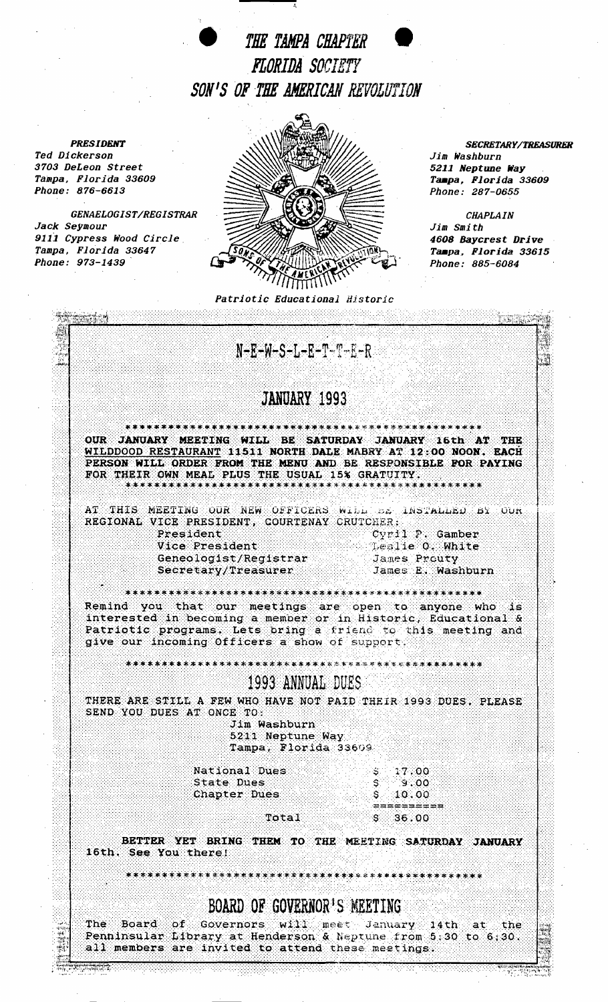THE TAMPA CHAPTER **FLORIDA SOCIETY** SON'S OF THE AMERICAN REVOLUTION

·'.

Jack Seymour



*Phone: 876-6613 Phone: 287-0655* 

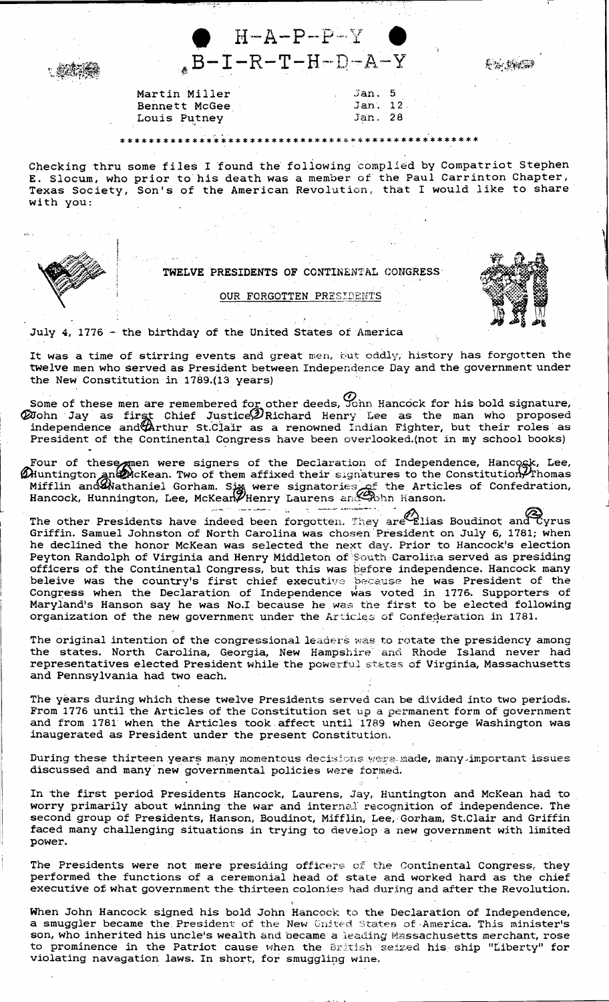

8% 接端

Martin Miller Bennett McGee Louis Putney

## 

Jan. 5  $Jan, 12$ 

Jan. 28

Checking thru some files I found the following complied by Compatriot Stephen E. Slocum, who prior to his death was a member of the Paul Carrinton Chapter, Texas Society, Son's of the American Revolution, that I would like to share with you:



TWELVE PRESIDENTS OF CONTINENTAL CONGRESS

OUR FORGOTTEN PRESIDENTS

July 4, 1776 - the birthday of the United States of America

It was a time of stirring events and great men, gut oddly, history has forgotten the twelve men who served as President between Independence Day and the government under the New Constitution in 1789.(13 years)

- Some of these men are remembered for other deeds,  $\mathcal{O}_{\text{ann}}$  Hancock for his bold signature,  $\mathcal{O}_{\text{John}}$  Jay as first Chief Justice  $\mathcal{P}_{\text{Richard}}$  Henry Lee as the man who proposed independence and  $\mathcal{O}_{\text{Arthur}}$  St.Cl President of the Continental Congress have been overlooked. (not in my school books)
- Four of these men were signers of the Declaration of Independence, Hancock, Lee, Muntington and McKean. Two of them affixed their signatures to the Constitution Phomas Mifflin and Mathaniel Gorham. Sign were signatories of u<br>Lan salamana manusik

The other Presidents have indeed been forgotten. They are Elias Boudinot and Cyrus<br>Griffin. Samuel Johnston of North Carolina was chosen President on July 6, 1781; when he declined the honor McKean was selected the next day. Prior to Hancock's election Peyton Randolph of Virginia and Henry Middleton of South Carolina served as presiding officers of the Continental Congress, but this was before independence. Hancock many<br>beleive was the country's first chief executive because he was President of the<br>Congress when the Declaration of Independence was voted i organization of the new government under the Articles of Confederation in 1781.

The original intention of the congressional leaders was to rotate the presidency among the states. North Carolina, Georgia, New Hampshire and Rhode Island never had representatives elected President while the powerful states of Virginia, Massachusetts and Pennsylvania had two each.

The years during which these twelve Presidents served can be divided into two periods. From 1776 until the Articles of the Constitution set up a permanent form of government and from 1781 when the Articles took affect until 1789 when George Washington was inaugerated as President under the present Constitution.

During these thirteen years many momentous decisions were made, many important issues discussed and many new governmental policies were formed.

In the first period Presidents Hancock, Laurens, Jay, Huntington and McKean had to worry primarily about winning the war and internal recognition of independence. The second group of Presidents, Hanson, Boudinot, Mifflin, Lee, Gorham, St.Clair and Griffin faced many challenging situations in trying to develop a new government with limited power.

The Presidents were not mere presiding officers of the Continental Congress, they performed the functions of a ceremonial head of state and worked hard as the chief executive of what government the thirteen colonies had during and after the Revolution.

When John Hancock signed his bold John Hancock to the Declaration of Independence, a smuggler became the President of the New United States of America. This minister's son, who inherited his uncle's wealth and became a leading Massachusetts merchant, rose to prominence in the Patriot cause when the British seized his ship "Liberty" for violating navagation laws. In short, for smuggling wine.